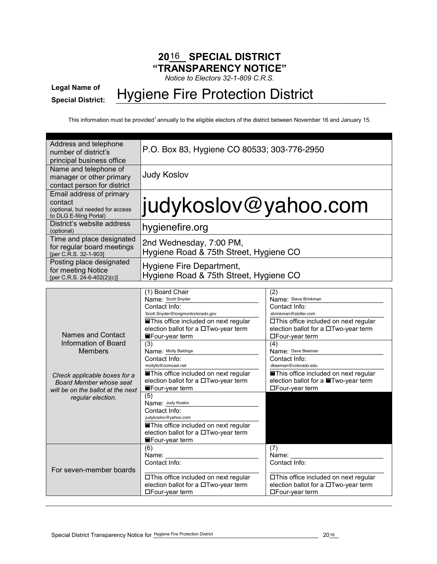## **20\_\_\_ SPECIAL DISTRICT**  16 **"TRANSPARENCY NOTICE"**

*Notice to Electors 32-1-809 C.R.S.*

## **Legal Name of Special District:** Lygiene Fire Protection District

This information must be provided<sup>1</sup> annually to the eligible electors of the district between November 16 and January 15.

| Address and telephone<br>number of district's<br>principal business office                         | P.O. Box 83, Hygiene CO 80533; 303-776-2950                        |
|----------------------------------------------------------------------------------------------------|--------------------------------------------------------------------|
| Name and telephone of<br>manager or other primary<br>contact person for district                   | <b>Judy Koslov</b>                                                 |
| Email address of primary<br>contact<br>(optional, but needed for access<br>to DLG E-filing Portal) | judykoslov@yahoo.com                                               |
| District's website address<br>(optional)                                                           | hygienefire.org                                                    |
| Time and place designated<br>for regular board meetings<br>[per C.R.S. 32-1-903]                   | 2nd Wednesday, 7:00 PM,<br>Hygiene Road & 75th Street, Hygiene CO  |
| Posting place designated<br>for meeting Notice<br>[per C.R.S. 24-6-402(2)(c)]                      | Hygiene Fire Department,<br>Hygiene Road & 75th Street, Hygiene CO |

|                                   | (1) Board Chair                              | (2)                                    |
|-----------------------------------|----------------------------------------------|----------------------------------------|
|                                   | Name: Scott Snyder                           | Name: Steve Brinkman                   |
|                                   | Contact Info:                                | Contact Info:                          |
|                                   | Scott.Snyder@longmontcolorado.gov            | sbrinkman@stoller.com                  |
|                                   | <b>■This office included on next regular</b> | □ This office included on next regular |
|                                   | election ballot for a □Two-year term         | election ballot for a □Two-year term   |
| Names and Contact                 | <b>■Four-year term</b>                       | □Four-year term                        |
| Information of Board              | (3)                                          | (4)                                    |
| <b>Members</b>                    | Name: Molly Baldrige                         | Name: Dave Beeman                      |
|                                   | Contact Info:                                | Contact Info:                          |
|                                   | mollytb@comcast.net                          | dbeeman@colorado.edu                   |
| Check applicable boxes for a      | <b>■This office included on next regular</b> | ■This office included on next regular  |
| Board Member whose seat           | election ballot for a □Two-year term         | election ballot for a ■Two-year term   |
| will be on the ballot at the next | ■Four-year term                              | □Four-year term                        |
| regular election.                 | (5)                                          |                                        |
|                                   | Name: Judy Koslov                            |                                        |
|                                   | Contact Info:                                |                                        |
|                                   | judykoslov@yahoo.com                         |                                        |
|                                   | <b>■This office included on next regular</b> |                                        |
|                                   | election ballot for a □Two-year term         |                                        |
|                                   | <b>■Four-year term</b>                       |                                        |
|                                   | (6)                                          | (7)                                    |
|                                   | Name:                                        | Name:                                  |
|                                   | Contact Info:                                | Contact Info:                          |
| For seven-member boards           |                                              |                                        |
|                                   | □This office included on next regular        | □This office included on next regular  |
|                                   | election ballot for a □Two-year term         | election ballot for a □Two-year term   |
|                                   | $\Box$ Four-year term                        | □Four-year term                        |
|                                   |                                              |                                        |